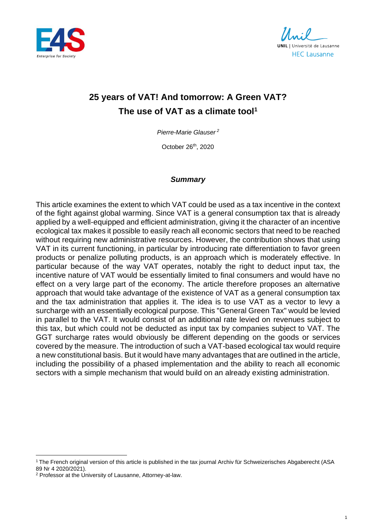

**UNIL** | Université de Lausanne **HEC Lausanne** 

# **25 years of VAT! And tomorrow: A Green VAT? The use of VAT as a climate tool<sup>1</sup>**

*Pierre-Marie Glauser <sup>2</sup>*

October 26th, 2020

#### *Summary*

This article examines the extent to which VAT could be used as a tax incentive in the context of the fight against global warming. Since VAT is a general consumption tax that is already applied by a well-equipped and efficient administration, giving it the character of an incentive ecological tax makes it possible to easily reach all economic sectors that need to be reached without requiring new administrative resources. However, the contribution shows that using VAT in its current functioning, in particular by introducing rate differentiation to favor green products or penalize polluting products, is an approach which is moderately effective. In particular because of the way VAT operates, notably the right to deduct input tax, the incentive nature of VAT would be essentially limited to final consumers and would have no effect on a very large part of the economy. The article therefore proposes an alternative approach that would take advantage of the existence of VAT as a general consumption tax and the tax administration that applies it. The idea is to use VAT as a vector to levy a surcharge with an essentially ecological purpose. This "General Green Tax" would be levied in parallel to the VAT. It would consist of an additional rate levied on revenues subject to this tax, but which could not be deducted as input tax by companies subject to VAT. The GGT surcharge rates would obviously be different depending on the goods or services covered by the measure. The introduction of such a VAT-based ecological tax would require a new constitutional basis. But it would have many advantages that are outlined in the article, including the possibility of a phased implementation and the ability to reach all economic sectors with a simple mechanism that would build on an already existing administration.

<sup>&</sup>lt;sup>1</sup> The French original version of this article is published in the tax journal Archiv für Schweizerisches Abgaberecht (ASA 89 Nr 4 2020/2021).

<sup>&</sup>lt;sup>2</sup> Professor at the University of Lausanne, Attorney-at-law.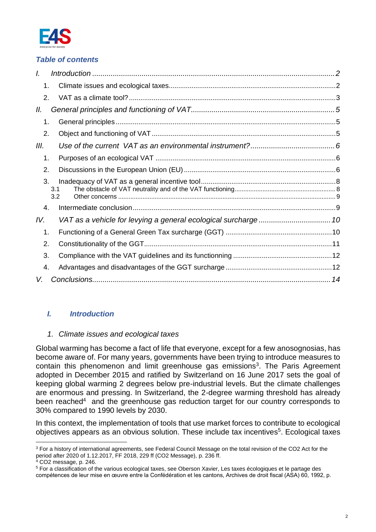

# *Table of contents*

| L                           |            |  |
|-----------------------------|------------|--|
| 1.                          |            |  |
| $\mathcal{P}_{\mathcal{C}}$ |            |  |
| 11.                         |            |  |
| 1.                          |            |  |
| 2.                          |            |  |
| III.                        |            |  |
| 1.                          |            |  |
| 2.                          |            |  |
| 3.                          | 3.1<br>3.2 |  |
| 4.                          |            |  |
| IV.                         |            |  |
| 1.                          |            |  |
| 2.                          |            |  |
| 3.                          |            |  |
| 4.                          |            |  |
| V.                          |            |  |
|                             |            |  |

# <span id="page-1-2"></span><span id="page-1-1"></span><span id="page-1-0"></span>*I. Introduction*

#### *1. Climate issues and ecological taxes*

Global warming has become a fact of life that everyone, except for a few anosognosias, has become aware of. For many years, governments have been trying to introduce measures to contain this phenomenon and limit greenhouse gas emissions<sup>3</sup>. The Paris Agreement adopted in December 2015 and ratified by Switzerland on 16 June 2017 sets the goal of keeping global warming 2 degrees below pre-industrial levels. But the climate challenges are enormous and pressing. In Switzerland, the 2-degree warming threshold has already been reached<sup>4</sup> and the greenhouse gas reduction target for our country corresponds to 30% compared to 1990 levels by 2030.

In this context, the implementation of tools that use market forces to contribute to ecological objectives appears as an obvious solution. These include tax incentives<sup>5</sup>. Ecological taxes

<sup>3</sup> For a history of international agreements, see Federal Council Message on the total revision of the CO2 Act for the period after 2020 of 1.12.2017, FF 2018, 229 ff (CO2 Message), p. 236 ff.

<sup>4</sup> CO2 message, p. 246.

<sup>5</sup> For a classification of the various ecological taxes, see Oberson Xavier, Les taxes écologiques et le partage des compétences de leur mise en œuvre entre la Confédération et les cantons, Archives de droit fiscal (ASA) 60, 1992, p.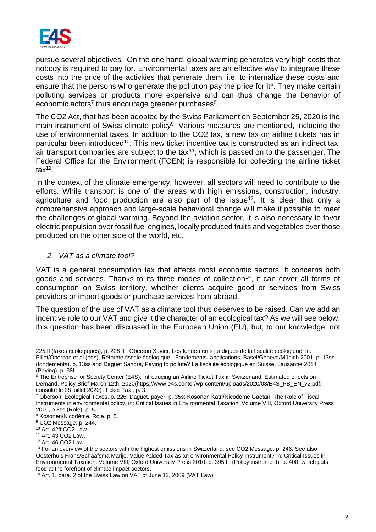

pursue several objectives. On the one hand, global warming generates very high costs that nobody is required to pay for. Environmental taxes are an effective way to integrate these costs into the price of the activities that generate them, i.e. to internalize these costs and ensure that the persons who generate the pollution pay the price for it $6$ . They make certain polluting services or products more expensive and can thus change the behavior of economic actors<sup>7</sup> thus encourage greener purchases<sup>8</sup>.

<span id="page-2-1"></span>The CO2 Act, that has been adopted by the Swiss Parliament on September 25, 2020 is the main instrument of Swiss climate policy<sup>9</sup>. Various measures are mentioned, including the use of environmental taxes. In addition to the CO2 tax, a new tax on airline tickets has in particular been introduced<sup>10</sup>. This new ticket incentive tax is constructed as an indirect tax: air transport companies are subject to the  $tax^{11}$ , which is passed on to the passenger. The Federal Office for the Environment (FOEN) is responsible for collecting the airline ticket tax<sup>12</sup>.

In the context of the climate emergency, however, all sectors will need to contribute to the efforts. While transport is one of the areas with high emissions, construction, industry, agriculture and food production are also part of the issue<sup>13</sup>. It is clear that only a comprehensive approach and large-scale behavioral change will make it possible to meet the challenges of global warming. Beyond the aviation sector, it is also necessary to favor electric propulsion over fossil fuel engines, locally produced fruits and vegetables over those produced on the other side of the world, etc.

# <span id="page-2-2"></span><span id="page-2-0"></span>*2. VAT as a climate tool?*

VAT is a general consumption tax that affects most economic sectors. It concerns both goods and services. Thanks to its three modes of collection<sup>14</sup>, it can cover all forms of consumption on Swiss territory, whether clients acquire good or services from Swiss providers or import goods or purchase services from abroad.

The question of the use of VAT as a climate tool thus deserves to be raised. Can we add an incentive role to our VAT and give it the character of an ecological tax? As we will see below, this question has been discussed in the European Union (EU), but, to our knowledge, not

<sup>225</sup> ff (taxes écologiques), p. 228 ff , Oberson Xavier, Les fondements juridiques de la fiscalité écologique, in: Pillet/Oberson et al (eds), Réforme fiscale écologique - Fondements, applications, Basel/Geneva/Münich 2001, p. 13ss (fondements), p. 13ss and Daguet Sandra, Paying to pollute? La fiscalité écologique en Suisse, Lausanne 2014 (Paying), p. 38f.

<sup>&</sup>lt;sup>6</sup> The Entreprise for Society Center (E4S), Introducing an Airline Ticket Tax in Switzerland, Estimated effects on Demand, Policy Brief March 12th, 202[0\(h](https://www.e4s.center/wp-content/uploads/2020/03/E4S_PB_EN_v2.pdf)ttps://www.e4s.center/wp-content/uploads/2020/03/E4S\_PB\_EN\_v2.pdf; consulté le 28 juillet 2020) [Ticket Tax], p. 3.

<sup>7</sup> Oberson, Ecological Taxes, p. 226; Daguet, payer, p. 35s; Kosonen Katri/Nicodème Gaëtan, The Role of Fiscal Instruments in environmental policy, in: Critical Issues in Environmental Taxation, Volume VIII, Oxford University Press 2010, p.3ss (Role), p. 5.

<sup>8</sup> Kosonen/Nicodème, Role, p. 5.

<sup>9</sup> CO2 Message, p. 244.

<sup>10</sup> Art. 42ff CO2 Law

<sup>11</sup> Art. 43 CO2 Law. <sup>12</sup> Art. 46 CO2 Law.

<sup>&</sup>lt;sup>13</sup> For an overview of the sectors with the highest emissions in Switzerland, see CO2 Message, p. 246. See also Oosterhuis Frans/Schaafsma Marije, Value Added Tax as an environmental Policy Instrument? In: Critical Issues in Environmental Taxation, Volume VIII, Oxford University Press 2010, p. 395 ff. (Policy instrument), p. 400, which puts food at the forefront of climate impact sectors.

<sup>14</sup> Art. 1, para. 2 of the Swiss Law on VAT of June 12, 2009 (VAT Law).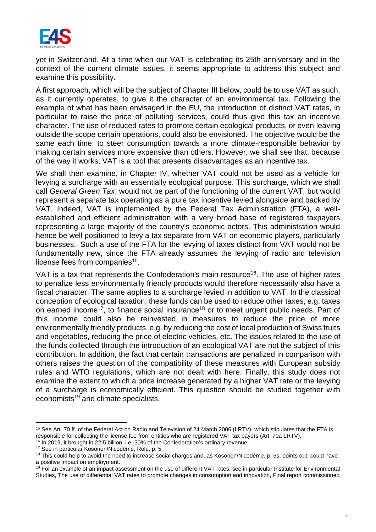

yet in Switzerland. At a time when our VAT is celebrating its 25th anniversary and in the context of the current climate issues, it seems appropriate to address this subject and examine this possibility.

A first approach, which will be the subject of Chapter [III](#page-5-0) below, could be to use VAT as such, as it currently operates, to give it the character of an environmental tax. Following the example of what has been envisaged in the EU, the introduction of distinct VAT rates, in particular to raise the price of polluting services, could thus give this tax an incentive character. The use of reduced rates to promote certain ecological products, or even leaving outside the scope certain operations, could also be envisioned. The objective would be the same each time: to steer consumption towards a more climate-responsible behavior by making certain services more expensive than others. However, we shall see that, because of the way it works, VAT is a tool that presents disadvantages as an incentive tax.

We shall then examine, in Chapter [IV,](#page-9-0) whether VAT could not be used as a vehicle for levying a surcharge with an essentially ecological purpose. This surcharge, which we shall call *General Green Tax*, would not be part of the functioning of the current VAT, but would represent a separate tax operating as a pure tax incentive levied alongside and backed by VAT. Indeed, VAT is implemented by the Federal Tax Administration (FTA), a wellestablished and efficient administration with a very broad base of registered taxpayers representing a large majority of the country's economic actors. This administration would hence be well positioned to levy a tax separate from VAT on economic players, particularly businesses. Such a use of the FTA for the levying of taxes distinct from VAT would not be fundamentally new, since the FTA already assumes the levying of radio and television license fees from companies<sup>15</sup>.

VAT is a tax that represents the Confederation's main resource<sup>16</sup>. The use of higher rates to penalize less environmentally friendly products would therefore necessarily also have a fiscal character. The same applies to a surcharge levied in addition to VAT. In the classical conception of ecological taxation, these funds can be used to reduce other taxes, e.g. taxes on earned income<sup>17</sup>, to finance social insurance<sup>18</sup> or to meet urgent public needs. Part of this income could also be reinvested in measures to reduce the price of more environmentally friendly products, e.g. by reducing the cost of local production of Swiss fruits and vegetables, reducing the price of electric vehicles, etc. The issues related to the use of the funds collected through the introduction of an ecological VAT are not the subject of this contribution. In addition, the fact that certain transactions are penalized in comparison with others raises the question of the compatibility of these measures with European subsidy rules and WTO regulations, which are not dealt with here. Finally, this study does not examine the extent to which a price increase generated by a higher VAT rate or the levying of a surcharge is economically efficient. This question should be studied together with economists<sup>19</sup> and climate specialists.

<sup>&</sup>lt;sup>15</sup> See Art. 70 ff. of the Federal Act on Radio and Television of 24 March 2006 (LRTV), which stipulates that the FTA is responsible for collecting the license fee from entities who are registered VAT tax payers (Art. 70a LRTV).

<sup>&</sup>lt;sup>16</sup> In 2019, it brought in 22.5 billion, i.e. 30% of the Confederation's ordinary revenue.

<sup>17</sup> See in particular Kosonen/Nicodème, Role, p. 5.

<sup>&</sup>lt;sup>18</sup> This could help to avoid the need to increase social charges and, as Kosonen/Nicodème, p. 5s, points out, could have a positive impact on employment.

<sup>&</sup>lt;sup>19</sup> For an example of an impact assessment on the use of different VAT rates, see in particular Institute for Environmental Studies, The use of differential VAT rates to promote changes in consumption and innovation, Final report commissioned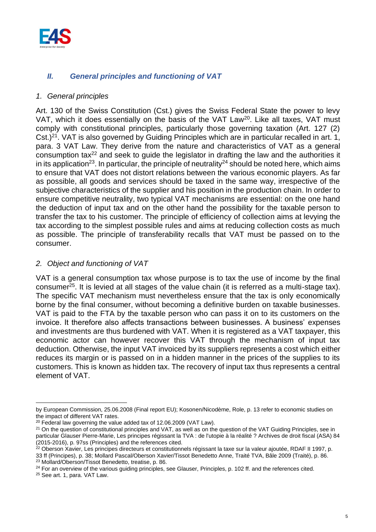

# <span id="page-4-0"></span>*II. General principles and functioning of VAT*

#### <span id="page-4-1"></span>*1. General principles*

Art. 130 of the Swiss Constitution (Cst.) gives the Swiss Federal State the power to levy VAT, which it does essentially on the basis of the VAT Law<sup>20</sup>. Like all taxes, VAT must comply with constitutional principles, particularly those governing taxation (Art. 127 (2) Cst.)<sup>21</sup>. VAT is also governed by Guiding Principles which are in particular recalled in art. 1, para. 3 VAT Law. They derive from the nature and characteristics of VAT as a general consumption tax<sup>22</sup> and seek to guide the legislator in drafting the law and the authorities it in its application<sup>23</sup>. In particular, the principle of neutrality<sup>24</sup> should be noted here, which aims to ensure that VAT does not distort relations between the various economic players. As far as possible, all goods and services should be taxed in the same way, irrespective of the subjective characteristics of the supplier and his position in the production chain. In order to ensure competitive neutrality, two typical VAT mechanisms are essential: on the one hand the deduction of input tax and on the other hand the possibility for the taxable person to transfer the tax to his customer. The principle of efficiency of collection aims at levying the tax according to the simplest possible rules and aims at reducing collection costs as much as possible. The principle of transferability recalls that VAT must be passed on to the consumer.

### <span id="page-4-2"></span>*2. Object and functioning of VAT*

VAT is a general consumption tax whose purpose is to tax the use of income by the final consumer<sup>25</sup>. It is levied at all stages of the value chain (it is referred as a multi-stage tax). The specific VAT mechanism must nevertheless ensure that the tax is only economically borne by the final consumer, without becoming a definitive burden on taxable businesses. VAT is paid to the FTA by the taxable person who can pass it on to its customers on the invoice. It therefore also affects transactions between businesses. A business' expenses and investments are thus burdened with VAT. When it is registered as a VAT taxpayer, this economic actor can however recover this VAT through the mechanism of input tax deduction. Otherwise, the input VAT invoiced by its suppliers represents a cost which either reduces its margin or is passed on in a hidden manner in the prices of the supplies to its customers. This is known as hidden tax. The recovery of input tax thus represents a central element of VAT.

by European Commission, 25.06.2008 (Final report EU); Kosonen/Nicodème, Role, p. 13 refer to economic studies on the impact of different VAT rates.

<sup>&</sup>lt;sup>20</sup> Federal law governing the value added tax of 12.06.2009 (VAT Law).

<sup>&</sup>lt;sup>21</sup> On the question of constitutional principles and VAT, as well as on the question of the VAT Guiding Principles, see in particular Glauser Pierre-Marie, Les principes régissant la TVA : de l'utopie à la réalité ? Archives de droit fiscal (ASA) 84 (2015-2016), p. 97ss (Principles) and the references cited.

<sup>&</sup>lt;sup>22</sup> Oberson Xavier, Les principes directeurs et constitutionnels régissant la taxe sur la valeur ajoutée, RDAF II 1997, p. 33 ff (Principes), p. 38; Mollard Pascal/Oberson Xavier/Tissot Benedetto Anne, Traité TVA, Bâle 2009 (Traité), p. 86. <sup>23</sup> Mollard/Oberson/Tissot Benedetto, treatise, p. 86.

<sup>&</sup>lt;sup>24</sup> For an overview of the various guiding principles, see Glauser, Principles, p. 102 ff. and the references cited.

<sup>25</sup> See art. 1, para. VAT Law.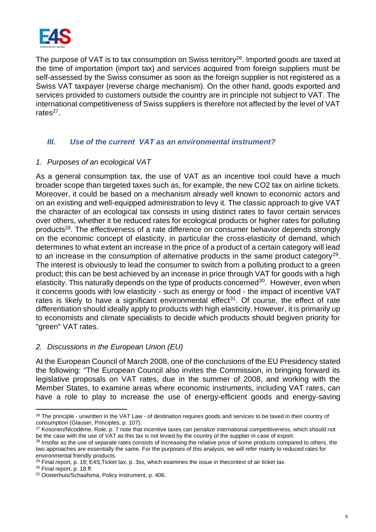

The purpose of VAT is to tax consumption on Swiss territory<sup>26</sup>. Imported goods are taxed at the time of importation (import tax) and services acquired from foreign suppliers must be self-assessed by the Swiss consumer as soon as the foreign supplier is not registered as a Swiss VAT taxpayer (reverse charge mechanism). On the other hand, goods exported and services provided to customers outside the country are in principle not subject to VAT. The international competitiveness of Swiss suppliers is therefore not affected by the level of VAT rates<sup>27</sup>.

# <span id="page-5-0"></span>*III. Use of the current VAT as an environmental instrument?*

#### <span id="page-5-1"></span>*1. Purposes of an ecological VAT*

As a general consumption tax, the use of VAT as an incentive tool could have a much broader scope than targeted taxes such as, for example, the new CO2 tax on airline tickets. Moreover, it could be based on a mechanism already well known to economic actors and on an existing and well-equipped administration to levy it. The classic approach to give VAT the character of an ecological tax consists in using distinct rates to favor certain services over others, whether it be reduced rates for ecological products or higher rates for polluting products<sup>28</sup>. The effectiveness of a rate difference on consumer behavior depends strongly on the economic concept of elasticity, in particular the cross-elasticity of demand, which determines to what extent an increase in the price of a product of a certain category will lead to an increase in the consumption of alternative products in the same product category<sup>29</sup>. The interest is obviously to lead the consumer to switch from a polluting product to a green product; this can be best achieved by an increase in price through VAT for goods with a high elasticity. This naturally depends on the type of products concerned<sup>30</sup>. However, even when it concerns goods with low elasticity - such as energy or food - the impact of incentive VAT rates is likely to have a significant environmental effect<sup>31</sup>. Of course, the effect of rate differentiation should ideally apply to products with high elasticity. However, it is primarily up to economists and climate specialists to decide which products should begiven priority for "green" VAT rates.

# <span id="page-5-2"></span>*2. Discussions in the European Union (EU)*

At the European Council of March 2008, one of the conclusions of the EU Presidency stated the following: "The European Council also invites the Commission, in bringing forward its legislative proposals on VAT rates, due in the summer of 2008, and working with the Member States, to examine areas where economic instruments, including VAT rates, can have a role to play to increase the use of energy-efficient goods and energy-saving

 $26$  The principle - unwritten in the VAT Law - of destination requires goods and services to be taxed in their country of consumption (Glauser, Principles, p. 107).

<sup>&</sup>lt;sup>27</sup> Kosonen/Nicodème, Role, p. 7 note that incentive taxes can penalize international competitiveness, which should not be the case with the use of VAT as this tax is not levied by the country of the supplier in case of export.

<sup>&</sup>lt;sup>28</sup> Insofar as the use of separate rates consists of increasing the relative price of some products compared to others, the two approaches are essentially the same. For the purposes of this analysis, we will refer mainly to reduced rates for environmental friendly products.

 $^{29}$  Final report, p. 18; E4S, Ticket tax, p. 3ss, which examines the issue in thecontext of air ticket tax.

<sup>30</sup> Final report, p. 18 ff.

<sup>31</sup> Oosterhuis/Schaafsma, Policy instrument, p. 406.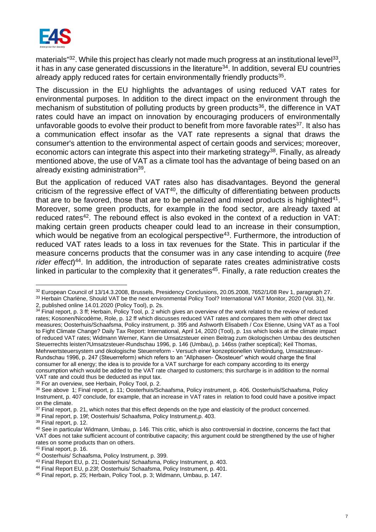

materials"<sup>32</sup>. While this project has clearly not made much progress at an institutional level<sup>33</sup>, it has in any case generated discussions in the literature<sup>34</sup>. In addition, several EU countries already apply reduced rates for certain environmentally friendly products<sup>35</sup>.

The discussion in the EU highlights the advantages of using reduced VAT rates for environmental purposes. In addition to the direct impact on the environment through the mechanism of substitution of polluting products by green products<sup>36</sup>, the difference in VAT rates could have an impact on innovation by encouraging producers of environmentally unfavorable goods to evolve their product to benefit from more favorable rates<sup>37</sup>. It also has a communication effect insofar as the VAT rate represents a signal that draws the consumer's attention to the environmental aspect of certain goods and services; moreover, economic actors can integrate this aspect into their marketing strategy<sup>38</sup>. Finally, as already mentioned above, the use of VAT as a climate tool has the advantage of being based on an already existing administration<sup>39</sup>.

But the application of reduced VAT rates also has disadvantages. Beyond the general criticism of the regressive effect of  $VAT^{40}$ , the difficulty of differentiating between products that are to be favored, those that are to be penalized and mixed products is highlighted $41$ . Moreover, some green products, for example in the food sector, are already taxed at reduced rates<sup>42</sup>. The rebound effect is also evoked in the context of a reduction in VAT: making certain green products cheaper could lead to an increase in their consumption, which would be negative from an ecological perspective<sup>43</sup>. Furthermore, the introduction of reduced VAT rates leads to a loss in tax revenues for the State. This in particular if the measure concerns products that the consumer was in any case intending to acquire (*free*  rider effect)<sup>44</sup>. In addition, the introduction of separate rates creates administrative costs linked in particular to the complexity that it generates<sup>45</sup>. Finally, a rate reduction creates the

<sup>32</sup> European Council of 13/14.3.2008, Brussels, Presidency Conclusions, 20.05.2008, 7652/1/08 Rev 1, paragraph 27.

<sup>33</sup> Herbain Charlène, Should VAT be the next environmental Policy Tool? International VAT Monitor, 2020 (Vol. 31), Nr.

<sup>2,</sup> published online 14.01.2020 (Policy Tool), p. 2s.

<sup>&</sup>lt;sup>34</sup> Final report, p. 3 ff; Herbain, Policy Tool, p. 2 which gives an overview of the work related to the review of reduced rates; Kosonen/Nicodème, Role, p. 12 ff which discusses reduced VAT rates and compares them with other direct tax measures; Oosterhuis/Schaafsma, Policy instrument, p. 395 and Ashworth Elisabeth / Cox Etienne, Using VAT as a Tool to Fight Climate Change? Daily Tax Report: International, April 14, 2020 (Tool), p. 1ss which looks at the climate impact of reduced VAT rates; Widmann Werner, Kann die Umsatzsteuer einen Beitrag zum ökologischen Umbau des deutschen Steuerrechts leisten?Umsatzsteuer-Rundschau 1996, p. 146 (Umbau), p. 146ss (rather sceptical); Keil Thomas, Mehrwertsteuersystem und ökologische Steuerreform - Versuch einer konzeptionellen Verbindung, Umsatzsteuer-Rundschau 1996, p. 247 (Steuerreform) which refers to an "Allphasen- Ökosteuer" which would charge the final consumer for all energy; the idea is to provide for a VAT surcharge for each company according to its energy consumption which would be added to the VAT rate charged to customers; this surcharge is in addition to the normal VAT rate and could thus be deducted as input tax.

<sup>&</sup>lt;sup>35</sup> For an overview, see Herbain, Policy Tool, p. 2.

<sup>36</sup> See above [1;](#page-5-1) Final report, p. 11; Oosterhuis/Schaafsma, Policy instrument, p. 406. Oosterhuis/Schaafsma, Policy Instrument, p. 407 conclude, for example, that an increase in VAT rates in relation to food could have a positive impact on the climate.

 $37$  Final report, p. 21, which notes that this effect depends on the type and elasticity of the product concerned.

<sup>38</sup> Final report, p. 19f; Oosterhuis/ Schaafsma, Policy Instrument,p. 403.

<sup>39</sup> Final report, p. 12.

<sup>40</sup> See in particular Widmann, Umbau, p. 146. This critic, which is also controversial in doctrine, concerns the fact that VAT does not take sufficient account of contributive capacity; this argument could be strengthened by the use of higher rates on some products than on others.

<sup>41</sup> Final report, p. 16.

<sup>42</sup> Oosterhuis/ Schaafsma, Policy Instrument, p. 399.

<sup>43</sup> Final Report EU, p. 21; Oosterhuis/ Schaafsma, Policy Instrument, p. 403.

<sup>44</sup> Final Report EU, p.23f; Oosterhuis/ Schaafsma, Policy Instrument, p. 401.

<sup>45</sup> Final report, p. 25; Herbain, Policy Tool, p. 3; Widmann, Umbau, p. 147.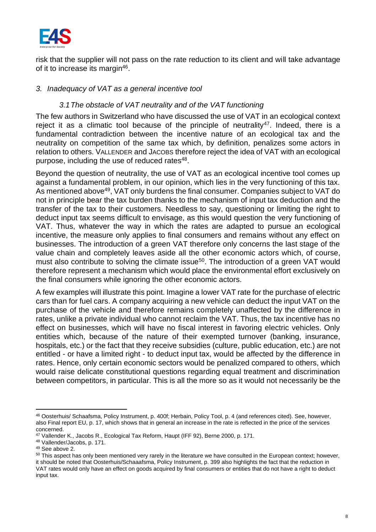

risk that the supplier will not pass on the rate reduction to its client and will take advantage of it to increase its margin<sup>46</sup>.

#### <span id="page-7-0"></span>*3. Inadequacy of VAT as a general incentive tool*

# *3.1The obstacle of VAT neutrality and of the VAT functioning*

<span id="page-7-1"></span>The few authors in Switzerland who have discussed the use of VAT in an ecological context reject it as a climatic tool because of the principle of neutrality<sup>47</sup>. Indeed, there is a fundamental contradiction between the incentive nature of an ecological tax and the neutrality on competition of the same tax which, by definition, penalizes some actors in relation to others. VALLENDER and JACOBS therefore reject the idea of VAT with an ecological purpose, including the use of reduced rates<sup>48</sup>.

Beyond the question of neutrality, the use of VAT as an ecological incentive tool comes up against a fundamental problem, in our opinion, which lies in the very functioning of this tax. As mentioned above<sup>49</sup>, VAT only burdens the final consumer. Companies subject to VAT do not in principle bear the tax burden thanks to the mechanism of input tax deduction and the transfer of the tax to their customers. Needless to say, questioning or limiting the right to deduct input tax seems difficult to envisage, as this would question the very functioning of VAT. Thus, whatever the way in which the rates are adapted to pursue an ecological incentive, the measure only applies to final consumers and remains without any effect on businesses. The introduction of a green VAT therefore only concerns the last stage of the value chain and completely leaves aside all the other economic actors which, of course, must also contribute to solving the climate issue<sup>50</sup>. The introduction of a green VAT would therefore represent a mechanism which would place the environmental effort exclusively on the final consumers while ignoring the other economic actors.

A few examples will illustrate this point. Imagine a lower VAT rate for the purchase of electric cars than for fuel cars. A company acquiring a new vehicle can deduct the input VAT on the purchase of the vehicle and therefore remains completely unaffected by the difference in rates, unlike a private individual who cannot reclaim the VAT. Thus, the tax incentive has no effect on businesses, which will have no fiscal interest in favoring electric vehicles. Only entities which, because of the nature of their exempted turnover (banking, insurance, hospitals, etc.) or the fact that they receive subsidies (culture, public education, etc.) are not entitled - or have a limited right - to deduct input tax, would be affected by the difference in rates. Hence, only certain economic sectors would be penalized compared to others, which would raise delicate constitutional questions regarding equal treatment and discrimination between competitors, in particular. This is all the more so as it would not necessarily be the

<sup>46</sup> Oosterhuis/ Schaafsma, Policy Instrument, p. 400f; Herbain, Policy Tool, p. 4 (and references cited). See, however, also Final report EU, p. 17, which shows that in general an increase in the rate is reflected in the price of the services concerned.

<sup>47</sup> Vallender K., Jacobs R., Ecological Tax Reform, Haupt (IFF 92), Berne 2000, p. 171.

<sup>48</sup> Vallender/Jacobs, p. 171.

<sup>49</sup> See above [2.](#page-4-2) 

<sup>&</sup>lt;sup>50</sup> This aspect has only been mentioned very rarely in the literature we have consulted in the European context; however, it should be noted that Oosterhuis/Schaaafsma, Policy Instrument, p. 399 also highlights the fact that the reduction in VAT rates would only have an effect on goods acquired by final consumers or entities that do not have a right to deduct input tax.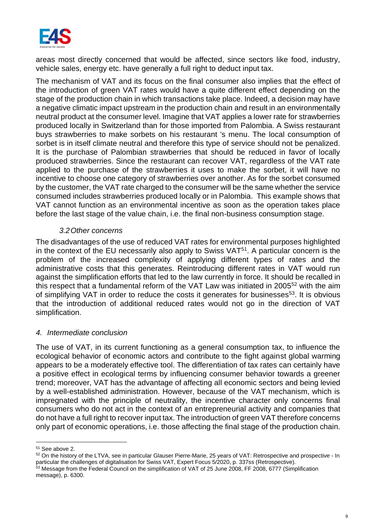

areas most directly concerned that would be affected, since sectors like food, industry, vehicle sales, energy etc. have generally a full right to deduct input tax.

The mechanism of VAT and its focus on the final consumer also implies that the effect of the introduction of green VAT rates would have a quite different effect depending on the stage of the production chain in which transactions take place. Indeed, a decision may have a negative climatic impact upstream in the production chain and result in an environmentally neutral product at the consumer level. Imagine that VAT applies a lower rate for strawberries produced locally in Switzerland than for those imported from Palombia. A Swiss restaurant buys strawberries to make sorbets on his restaurant 's menu. The local consumption of sorbet is in itself climate neutral and therefore this type of service should not be penalized. It is the purchase of Palombian strawberries that should be reduced in favor of locally produced strawberries. Since the restaurant can recover VAT, regardless of the VAT rate applied to the purchase of the strawberries it uses to make the sorbet, it will have no incentive to choose one category of strawberries over another. As for the sorbet consumed by the customer, the VAT rate charged to the consumer will be the same whether the service consumed includes strawberries produced locally or in Palombia. This example shows that VAT cannot function as an environmental incentive as soon as the operation takes place before the last stage of the value chain, i.e. the final non-business consumption stage.

### *3.2Other concerns*

<span id="page-8-0"></span>The disadvantages of the use of reduced VAT rates for environmental purposes highlighted in the context of the EU necessarily also apply to Swiss VAT<sup>51</sup>. A particular concern is the problem of the increased complexity of applying different types of rates and the administrative costs that this generates. Reintroducing different rates in VAT would run against the simplification efforts that led to the law currently in force. It should be recalled in this respect that a fundamental reform of the VAT Law was initiated in 2005<sup>52</sup> with the aim of simplifying VAT in order to reduce the costs it generates for businesses<sup>53</sup>. It is obvious that the introduction of additional reduced rates would not go in the direction of VAT simplification.

#### <span id="page-8-1"></span>*4. Intermediate conclusion*

The use of VAT, in its current functioning as a general consumption tax, to influence the ecological behavior of economic actors and contribute to the fight against global warming appears to be a moderately effective tool. The differentiation of tax rates can certainly have a positive effect in ecological terms by influencing consumer behavior towards a greener trend; moreover, VAT has the advantage of affecting all economic sectors and being levied by a well-established administration. However, because of the VAT mechanism, which is impregnated with the principle of neutrality, the incentive character only concerns final consumers who do not act in the context of an entrepreneurial activity and companies that do not have a full right to recover input tax. The introduction of green VAT therefore concerns only part of economic operations, i.e. those affecting the final stage of the production chain.

<sup>51</sup> See above [2.](#page-5-2) 

<sup>52</sup> On the history of the LTVA, see in particular Glauser Pierre-Marie, 25 years of VAT: Retrospective and prospective - In particular the challenges of digitalisation for Swiss VAT, Expert Focus 5/2020, p. 337ss (Retrospective).

<sup>53</sup> Message from the Federal Council on the simplification of VAT of 25 June 2008, FF 2008, 6777 (Simplification message), p. 6300.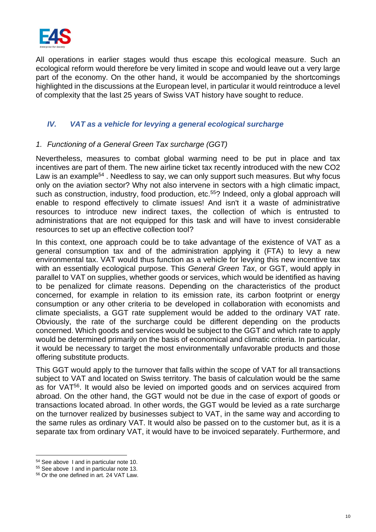

All operations in earlier stages would thus escape this ecological measure. Such an ecological reform would therefore be very limited in scope and would leave out a very large part of the economy. On the other hand, it would be accompanied by the shortcomings highlighted in the discussions at the European level, in particular it would reintroduce a level of complexity that the last 25 years of Swiss VAT history have sought to reduce.

# <span id="page-9-0"></span>*IV. VAT as a vehicle for levying a general ecological surcharge*

#### <span id="page-9-1"></span>*1. Functioning of a General Green Tax surcharge (GGT)*

Nevertheless, measures to combat global warming need to be put in place and tax incentives are part of them. The new airline ticket tax recently introduced with the new CO2 Law is an example<sup>54</sup>. Needless to say, we can only support such measures. But why focus only on the aviation sector? Why not also intervene in sectors with a high climatic impact, such as construction, industry, food production, etc.<sup>55</sup>? Indeed, only a global approach will enable to respond effectively to climate issues! And isn't it a waste of administrative resources to introduce new indirect taxes, the collection of which is entrusted to administrations that are not equipped for this task and will have to invest considerable resources to set up an effective collection tool?

In this context, one approach could be to take advantage of the existence of VAT as a general consumption tax and of the administration applying it (FTA) to levy a new environmental tax. VAT would thus function as a vehicle for levying this new incentive tax with an essentially ecological purpose. This *General Green Tax*, or GGT, would apply in parallel to VAT on supplies, whether goods or services, which would be identified as having to be penalized for climate reasons. Depending on the characteristics of the product concerned, for example in relation to its emission rate, its carbon footprint or energy consumption or any other criteria to be developed in collaboration with economists and climate specialists, a GGT rate supplement would be added to the ordinary VAT rate. Obviously, the rate of the surcharge could be different depending on the products concerned. Which goods and services would be subject to the GGT and which rate to apply would be determined primarily on the basis of economical and climatic criteria. In particular, it would be necessary to target the most environmentally unfavorable products and those offering substitute products.

This GGT would apply to the turnover that falls within the scope of VAT for all transactions subject to VAT and located on Swiss territory. The basis of calculation would be the same as for VAT<sup>56</sup>. It would also be levied on imported goods and on services acquired from abroad. On the other hand, the GGT would not be due in the case of export of goods or transactions located abroad. In other words, the GGT would be levied as a rate surcharge on the turnover realized by businesses subject to VAT, in the same way and according to the same rules as ordinary VAT. It would also be passed on to the customer but, as it is a separate tax from ordinary VAT, it would have to be invoiced separately. Furthermore, and

<sup>54</sup> See above [I](#page-1-2) and in particular note [10.](#page-2-1) 

<sup>55</sup> See above [I](#page-1-2) and in particular note [13.](#page-2-2) 

<sup>56</sup> Or the one defined in art. 24 VAT Law.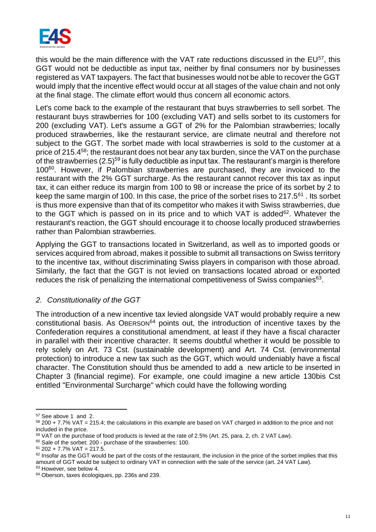

this would be the main difference with the VAT rate reductions discussed in the EU<sup>57</sup>, this GGT would not be deductible as input tax, neither by final consumers nor by businesses registered as VAT taxpayers. The fact that businesses would not be able to recover the GGT would imply that the incentive effect would occur at all stages of the value chain and not only at the final stage. The climate effort would thus concern all economic actors.

Let's come back to the example of the restaurant that buys strawberries to sell sorbet. The restaurant buys strawberries for 100 (excluding VAT) and sells sorbet to its customers for 200 (excluding VAT). Let's assume a GGT of 2% for the Palombian strawberries; locally produced strawberries, like the restaurant service, are climate neutral and therefore not subject to the GGT. The sorbet made with local strawberries is sold to the customer at a price of 215.4<sup>58</sup>; the restaurant does not bear any tax burden, since the VAT on the purchase of the strawberries  $(2.5)^{59}$  is fully deductible as input tax. The restaurant's margin is therefore 100<sup>60</sup>. However, if Palombian strawberries are purchased, they are invoiced to the restaurant with the 2% GGT surcharge. As the restaurant cannot recover this tax as input tax, it can either reduce its margin from 100 to 98 or increase the price of its sorbet by 2 to keep the same margin of 100. In this case, the price of the sorbet rises to 217.5<sup>61</sup> . Its sorbet is thus more expensive than that of its competitor who makes it with Swiss strawberries, due to the GGT which is passed on in its price and to which VAT is added<sup>62</sup>. Whatever the restaurant's reaction, the GGT should encourage it to choose locally produced strawberries rather than Palombian strawberries.

Applying the GGT to transactions located in Switzerland, as well as to imported goods or services acquired from abroad, makes it possible to submit all transactions on Swiss territory to the incentive tax, without discriminating Swiss players in comparison with those abroad. Similarly, the fact that the GGT is not levied on transactions located abroad or exported reduces the risk of penalizing the international competitiveness of Swiss companies $63$ .

#### <span id="page-10-0"></span>*2. Constitutionality of the GGT*

The introduction of a new incentive tax levied alongside VAT would probably require a new constitutional basis. As OBERSON<sup>64</sup> points out, the introduction of incentive taxes by the Confederation requires a constitutional amendment, at least if they have a fiscal character in parallel with their incentive character. It seems doubtful whether it would be possible to rely solely on Art. 73 Cst. (sustainable development) and Art. 74 Cst. (environmental protection) to introduce a new tax such as the GGT, which would undeniably have a fiscal character. The Constitution should thus be amended to add a new article to be inserted in Chapter 3 (financial regime). For example, one could imagine a new article 130bis Cst entitled "Environmental Surcharge" which could have the following wording

<sup>57</sup> See above [1](#page-5-1) and [2.](#page-5-2) 

<sup>58</sup> 200 + 7.7% VAT = 215.4; the calculations in this example are based on VAT charged in addition to the price and not included in the price.

<sup>&</sup>lt;sup>59</sup> VAT on the purchase of food products is levied at the rate of 2.5% (Art. 25, para. 2, ch. 2 VAT Law).

<sup>60</sup> Sale of the sorbet: 200 - purchase of the strawberries: 100.

 $61$  202 + 7.7% VAT = 217.5.

 $62$  Insofar as the GGT would be part of the costs of the restaurant, the inclusion in the price of the sorbet implies that this amount of GGT would be subject to ordinary VAT in connection with the sale of the service (art. 24 VAT Law).

<sup>&</sup>lt;sup>63</sup> However, see below 4.

<sup>&</sup>lt;sup>64</sup> Oberson, taxes écologiques, pp. 236s and 239.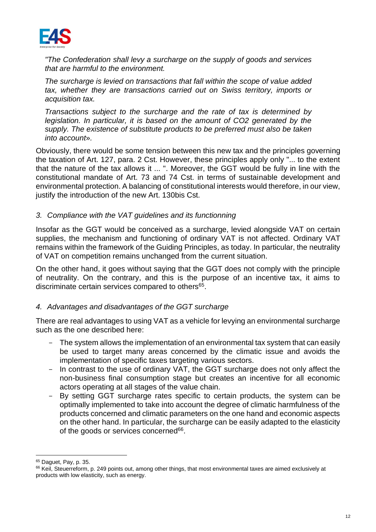

*"The Confederation shall levy a surcharge on the supply of goods and services that are harmful to the environment.* 

*The surcharge is levied on transactions that fall within the scope of value added tax, whether they are transactions carried out on Swiss territory, imports or acquisition tax.* 

*Transactions subject to the surcharge and the rate of tax is determined by legislation. In particular, it is based on the amount of CO2 generated by the supply. The existence of substitute products to be preferred must also be taken into account*»*.*

Obviously, there would be some tension between this new tax and the principles governing the taxation of Art. 127, para. 2 Cst. However, these principles apply only "... to the extent that the nature of the tax allows it ... ". Moreover, the GGT would be fully in line with the constitutional mandate of Art. 73 and 74 Cst. in terms of sustainable development and environmental protection. A balancing of constitutional interests would therefore, in our view, justify the introduction of the new Art. 130bis Cst.

#### <span id="page-11-0"></span>*3. Compliance with the VAT guidelines and its functionning*

Insofar as the GGT would be conceived as a surcharge, levied alongside VAT on certain supplies, the mechanism and functioning of ordinary VAT is not affected. Ordinary VAT remains within the framework of the Guiding Principles, as today. In particular, the neutrality of VAT on competition remains unchanged from the current situation.

On the other hand, it goes without saying that the GGT does not comply with the principle of neutrality. On the contrary, and this is the purpose of an incentive tax, it aims to discriminate certain services compared to others<sup>65</sup>.

#### <span id="page-11-1"></span>*4. Advantages and disadvantages of the GGT surcharge*

There are real advantages to using VAT as a vehicle for levying an environmental surcharge such as the one described here:

- The system allows the implementation of an environmental tax system that can easily be used to target many areas concerned by the climatic issue and avoids the implementation of specific taxes targeting various sectors.
- In contrast to the use of ordinary VAT, the GGT surcharge does not only affect the non-business final consumption stage but creates an incentive for all economic actors operating at all stages of the value chain.
- By setting GGT surcharge rates specific to certain products, the system can be optimally implemented to take into account the degree of climatic harmfulness of the products concerned and climatic parameters on the one hand and economic aspects on the other hand. In particular, the surcharge can be easily adapted to the elasticity of the goods or services concerned<sup>66</sup>.

<sup>65</sup> Daguet, Pay, p. 35.

<sup>&</sup>lt;sup>66</sup> Keil, Steuerreform, p. 249 points out, among other things, that most environmental taxes are aimed exclusively at products with low elasticity, such as energy.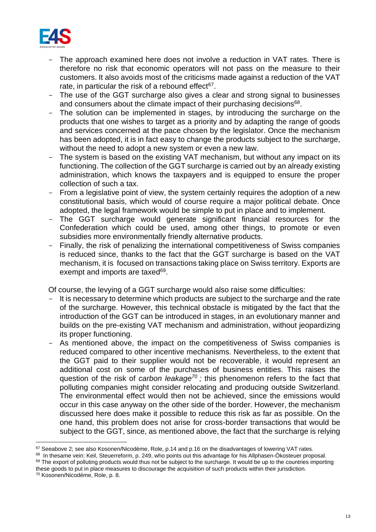

- The approach examined here does not involve a reduction in VAT rates. There is therefore no risk that economic operators will not pass on the measure to their customers. It also avoids most of the criticisms made against a reduction of the VAT rate, in particular the risk of a rebound effect $67$ .
- The use of the GGT surcharge also gives a clear and strong signal to businesses and consumers about the climate impact of their purchasing decisions<sup>68</sup>.
- The solution can be implemented in stages, by introducing the surcharge on the products that one wishes to target as a priority and by adapting the range of goods and services concerned at the pace chosen by the legislator. Once the mechanism has been adopted, it is in fact easy to change the products subject to the surcharge, without the need to adopt a new system or even a new law.
- The system is based on the existing VAT mechanism, but without any impact on its functioning. The collection of the GGT surcharge is carried out by an already existing administration, which knows the taxpayers and is equipped to ensure the proper collection of such a tax.
- From a legislative point of view, the system certainly requires the adoption of a new constitutional basis, which would of course require a major political debate. Once adopted, the legal framework would be simple to put in place and to implement.
- The GGT surcharge would generate significant financial resources for the Confederation which could be used, among other things, to promote or even subsidies more environmentally friendly alternative products.
- Finally, the risk of penalizing the international competitiveness of Swiss companies is reduced since, thanks to the fact that the GGT surcharge is based on the VAT mechanism, it is focused on transactions taking place on Swiss territory. Exports are exempt and imports are taxed<sup>69</sup>.

Of course, the levying of a GGT surcharge would also raise some difficulties:

- It is necessary to determine which products are subject to the surcharge and the rate of the surcharge. However, this technical obstacle is mitigated by the fact that the introduction of the GGT can be introduced in stages, in an evolutionary manner and builds on the pre-existing VAT mechanism and administration, without jeopardizing its proper functioning.
- As mentioned above, the impact on the competitiveness of Swiss companies is reduced compared to other incentive mechanisms. Nevertheless, to the extent that the GGT paid to their supplier would not be recoverable, it would represent an additional cost on some of the purchases of business entities. This raises the question of the risk of *carbon leakage<sup>70</sup> ;* this phenomenon refers to the fact that polluting companies might consider relocating and producing outside Switzerland. The environmental effect would then not be achieved, since the emissions would occur in this case anyway on the other side of the border. However, the mechanism discussed here does make it possible to reduce this risk as far as possible. On the one hand, this problem does not arise for cross-border transactions that would be subject to the GGT, since, as mentioned above, the fact that the surcharge is relying

 $67$  Seeabove [2;](#page-5-2) see also Kosonen/Nicodème, Role, p.14 and p.16 on the disadvantages of lowering VAT rates.

<sup>&</sup>lt;sup>68</sup> In thesame vein: Keil, Steuerreform, p. 249, who points out this advantage for his Allphasen-Ökosteuer proposal.

<sup>69</sup> The export of polluting products would thus not be subject to the surcharge. It would be up to the countries importing these goods to put in place measures to discourage the acquisition of such products within their jurisdiction.

<sup>70</sup> Kosonen/Nicodème, Role, p. 8.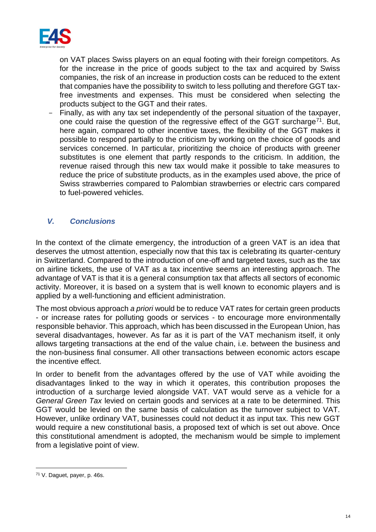

on VAT places Swiss players on an equal footing with their foreign competitors. As for the increase in the price of goods subject to the tax and acquired by Swiss companies, the risk of an increase in production costs can be reduced to the extent that companies have the possibility to switch to less polluting and therefore GGT taxfree investments and expenses. This must be considered when selecting the products subject to the GGT and their rates.

Finally, as with any tax set independently of the personal situation of the taxpayer, one could raise the question of the regressive effect of the GGT surcharge<sup>71</sup>. But, here again, compared to other incentive taxes, the flexibility of the GGT makes it possible to respond partially to the criticism by working on the choice of goods and services concerned. In particular, prioritizing the choice of products with greener substitutes is one element that partly responds to the criticism. In addition, the revenue raised through this new tax would make it possible to take measures to reduce the price of substitute products, as in the examples used above, the price of Swiss strawberries compared to Palombian strawberries or electric cars compared to fuel-powered vehicles.

### <span id="page-13-0"></span>*V. Conclusions*

In the context of the climate emergency, the introduction of a green VAT is an idea that deserves the utmost attention, especially now that this tax is celebrating its quarter-century in Switzerland. Compared to the introduction of one-off and targeted taxes, such as the tax on airline tickets, the use of VAT as a tax incentive seems an interesting approach. The advantage of VAT is that it is a general consumption tax that affects all sectors of economic activity. Moreover, it is based on a system that is well known to economic players and is applied by a well-functioning and efficient administration.

The most obvious approach *a priori* would be to reduce VAT rates for certain green products - or increase rates for polluting goods or services - to encourage more environmentally responsible behavior. This approach, which has been discussed in the European Union, has several disadvantages, however. As far as it is part of the VAT mechanism itself, it only allows targeting transactions at the end of the value chain, i.e. between the business and the non-business final consumer. All other transactions between economic actors escape the incentive effect.

In order to benefit from the advantages offered by the use of VAT while avoiding the disadvantages linked to the way in which it operates, this contribution proposes the introduction of a surcharge levied alongside VAT. VAT would serve as a vehicle for a *General Green Tax* levied on certain goods and services at a rate to be determined. This GGT would be levied on the same basis of calculation as the turnover subject to VAT. However, unlike ordinary VAT, businesses could not deduct it as input tax. This new GGT would require a new constitutional basis, a proposed text of which is set out above. Once this constitutional amendment is adopted, the mechanism would be simple to implement from a legislative point of view.

<sup>71</sup> V. Daguet, payer, p. 46s.